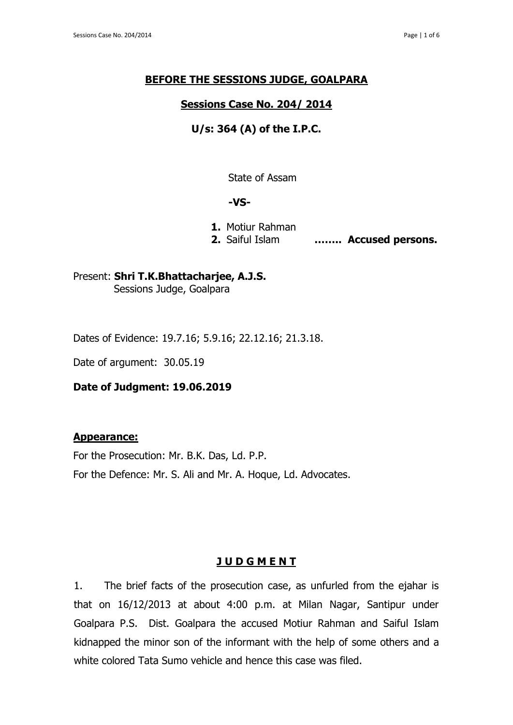### **BEFORE THE SESSIONS JUDGE, GOALPARA**

## **Sessions Case No. 204/ 2014**

# **U/s: 364 (A) of the I.P.C.**

State of Assam

#### **-VS-**

**1.** Motiur Rahman

**2.** Saiful Islam **…….. Accused persons.**

Present: **Shri T.K.Bhattacharjee, A.J.S.** Sessions Judge, Goalpara

Dates of Evidence: 19.7.16; 5.9.16; 22.12.16; 21.3.18.

Date of argument: 30.05.19

#### **Date of Judgment: 19.06.2019**

#### **Appearance:**

For the Prosecution: Mr. B.K. Das, Ld. P.P. For the Defence: Mr. S. Ali and Mr. A. Hoque, Ld. Advocates.

#### **J U D G M E N T**

1. The brief facts of the prosecution case, as unfurled from the ejahar is that on 16/12/2013 at about 4:00 p.m. at Milan Nagar, Santipur under Goalpara P.S. Dist. Goalpara the accused Motiur Rahman and Saiful Islam kidnapped the minor son of the informant with the help of some others and a white colored Tata Sumo vehicle and hence this case was filed.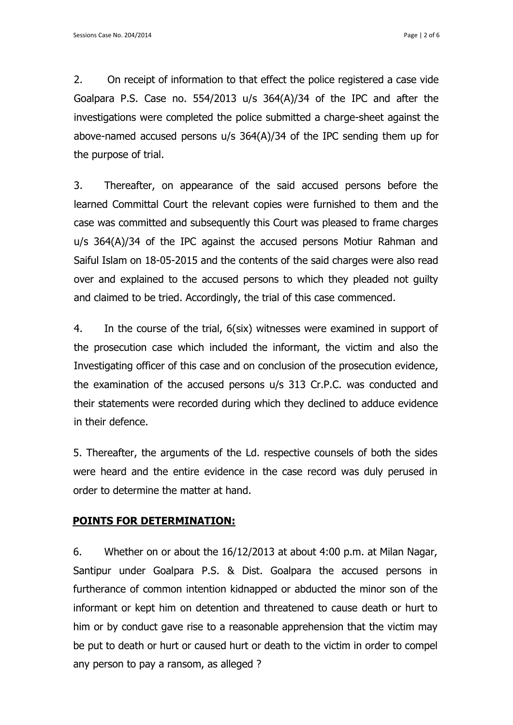2. On receipt of information to that effect the police registered a case vide Goalpara P.S. Case no. 554/2013 u/s 364(A)/34 of the IPC and after the investigations were completed the police submitted a charge-sheet against the above-named accused persons u/s 364(A)/34 of the IPC sending them up for the purpose of trial.

3. Thereafter, on appearance of the said accused persons before the learned Committal Court the relevant copies were furnished to them and the case was committed and subsequently this Court was pleased to frame charges u/s 364(A)/34 of the IPC against the accused persons Motiur Rahman and Saiful Islam on 18-05-2015 and the contents of the said charges were also read over and explained to the accused persons to which they pleaded not guilty and claimed to be tried. Accordingly, the trial of this case commenced.

4. In the course of the trial, 6(six) witnesses were examined in support of the prosecution case which included the informant, the victim and also the Investigating officer of this case and on conclusion of the prosecution evidence, the examination of the accused persons u/s 313 Cr.P.C. was conducted and their statements were recorded during which they declined to adduce evidence in their defence.

5. Thereafter, the arguments of the Ld. respective counsels of both the sides were heard and the entire evidence in the case record was duly perused in order to determine the matter at hand.

## **POINTS FOR DETERMINATION:**

6. Whether on or about the 16/12/2013 at about 4:00 p.m. at Milan Nagar, Santipur under Goalpara P.S. & Dist. Goalpara the accused persons in furtherance of common intention kidnapped or abducted the minor son of the informant or kept him on detention and threatened to cause death or hurt to him or by conduct gave rise to a reasonable apprehension that the victim may be put to death or hurt or caused hurt or death to the victim in order to compel any person to pay a ransom, as alleged ?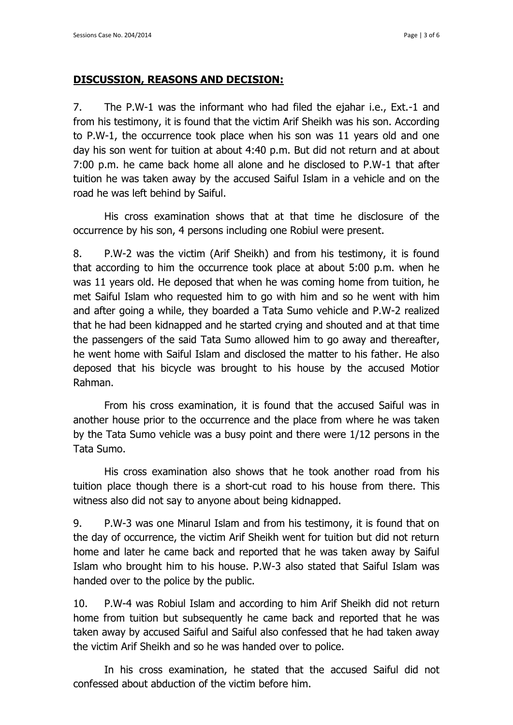## **DISCUSSION, REASONS AND DECISION:**

7. The P.W-1 was the informant who had filed the ejahar i.e., Ext.-1 and from his testimony, it is found that the victim Arif Sheikh was his son. According to P.W-1, the occurrence took place when his son was 11 years old and one day his son went for tuition at about 4:40 p.m. But did not return and at about 7:00 p.m. he came back home all alone and he disclosed to P.W-1 that after tuition he was taken away by the accused Saiful Islam in a vehicle and on the road he was left behind by Saiful.

His cross examination shows that at that time he disclosure of the occurrence by his son, 4 persons including one Robiul were present.

8. P.W-2 was the victim (Arif Sheikh) and from his testimony, it is found that according to him the occurrence took place at about 5:00 p.m. when he was 11 years old. He deposed that when he was coming home from tuition, he met Saiful Islam who requested him to go with him and so he went with him and after going a while, they boarded a Tata Sumo vehicle and P.W-2 realized that he had been kidnapped and he started crying and shouted and at that time the passengers of the said Tata Sumo allowed him to go away and thereafter, he went home with Saiful Islam and disclosed the matter to his father. He also deposed that his bicycle was brought to his house by the accused Motior Rahman.

From his cross examination, it is found that the accused Saiful was in another house prior to the occurrence and the place from where he was taken by the Tata Sumo vehicle was a busy point and there were 1/12 persons in the Tata Sumo.

His cross examination also shows that he took another road from his tuition place though there is a short-cut road to his house from there. This witness also did not say to anyone about being kidnapped.

9. P.W-3 was one Minarul Islam and from his testimony, it is found that on the day of occurrence, the victim Arif Sheikh went for tuition but did not return home and later he came back and reported that he was taken away by Saiful Islam who brought him to his house. P.W-3 also stated that Saiful Islam was handed over to the police by the public.

10. P.W-4 was Robiul Islam and according to him Arif Sheikh did not return home from tuition but subsequently he came back and reported that he was taken away by accused Saiful and Saiful also confessed that he had taken away the victim Arif Sheikh and so he was handed over to police.

In his cross examination, he stated that the accused Saiful did not confessed about abduction of the victim before him.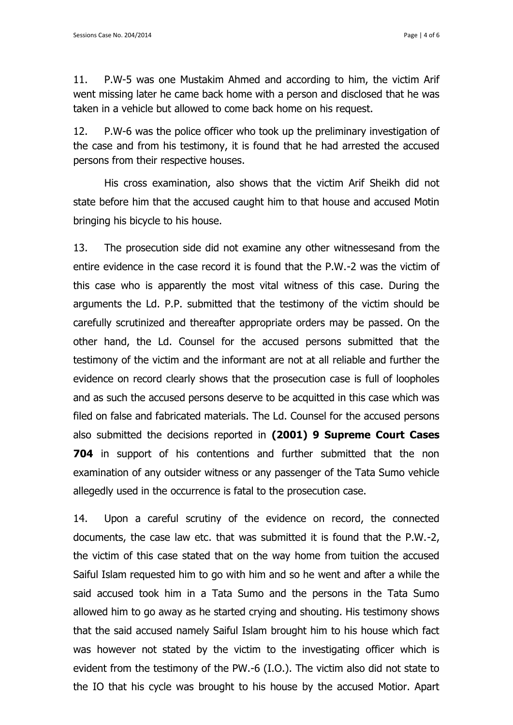11. P.W-5 was one Mustakim Ahmed and according to him, the victim Arif went missing later he came back home with a person and disclosed that he was taken in a vehicle but allowed to come back home on his request.

12. P.W-6 was the police officer who took up the preliminary investigation of the case and from his testimony, it is found that he had arrested the accused persons from their respective houses.

His cross examination, also shows that the victim Arif Sheikh did not state before him that the accused caught him to that house and accused Motin bringing his bicycle to his house.

13. The prosecution side did not examine any other witnessesand from the entire evidence in the case record it is found that the P.W.-2 was the victim of this case who is apparently the most vital witness of this case. During the arguments the Ld. P.P. submitted that the testimony of the victim should be carefully scrutinized and thereafter appropriate orders may be passed. On the other hand, the Ld. Counsel for the accused persons submitted that the testimony of the victim and the informant are not at all reliable and further the evidence on record clearly shows that the prosecution case is full of loopholes and as such the accused persons deserve to be acquitted in this case which was filed on false and fabricated materials. The Ld. Counsel for the accused persons also submitted the decisions reported in **(2001) 9 Supreme Court Cases 704** in support of his contentions and further submitted that the non examination of any outsider witness or any passenger of the Tata Sumo vehicle allegedly used in the occurrence is fatal to the prosecution case.

14. Upon a careful scrutiny of the evidence on record, the connected documents, the case law etc. that was submitted it is found that the P.W.-2, the victim of this case stated that on the way home from tuition the accused Saiful Islam requested him to go with him and so he went and after a while the said accused took him in a Tata Sumo and the persons in the Tata Sumo allowed him to go away as he started crying and shouting. His testimony shows that the said accused namely Saiful Islam brought him to his house which fact was however not stated by the victim to the investigating officer which is evident from the testimony of the PW.-6 (I.O.). The victim also did not state to the IO that his cycle was brought to his house by the accused Motior. Apart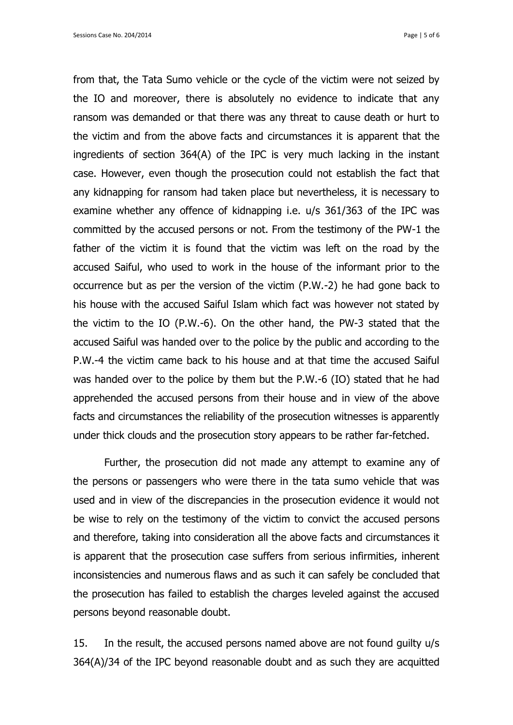from that, the Tata Sumo vehicle or the cycle of the victim were not seized by the IO and moreover, there is absolutely no evidence to indicate that any ransom was demanded or that there was any threat to cause death or hurt to the victim and from the above facts and circumstances it is apparent that the ingredients of section 364(A) of the IPC is very much lacking in the instant case. However, even though the prosecution could not establish the fact that any kidnapping for ransom had taken place but nevertheless, it is necessary to examine whether any offence of kidnapping i.e. u/s 361/363 of the IPC was committed by the accused persons or not. From the testimony of the PW-1 the father of the victim it is found that the victim was left on the road by the accused Saiful, who used to work in the house of the informant prior to the occurrence but as per the version of the victim (P.W.-2) he had gone back to his house with the accused Saiful Islam which fact was however not stated by the victim to the IO (P.W.-6). On the other hand, the PW-3 stated that the accused Saiful was handed over to the police by the public and according to the P.W.-4 the victim came back to his house and at that time the accused Saiful was handed over to the police by them but the P.W.-6 (IO) stated that he had apprehended the accused persons from their house and in view of the above facts and circumstances the reliability of the prosecution witnesses is apparently under thick clouds and the prosecution story appears to be rather far-fetched.

Further, the prosecution did not made any attempt to examine any of the persons or passengers who were there in the tata sumo vehicle that was used and in view of the discrepancies in the prosecution evidence it would not be wise to rely on the testimony of the victim to convict the accused persons and therefore, taking into consideration all the above facts and circumstances it is apparent that the prosecution case suffers from serious infirmities, inherent inconsistencies and numerous flaws and as such it can safely be concluded that the prosecution has failed to establish the charges leveled against the accused persons beyond reasonable doubt.

15. In the result, the accused persons named above are not found guilty u/s 364(A)/34 of the IPC beyond reasonable doubt and as such they are acquitted